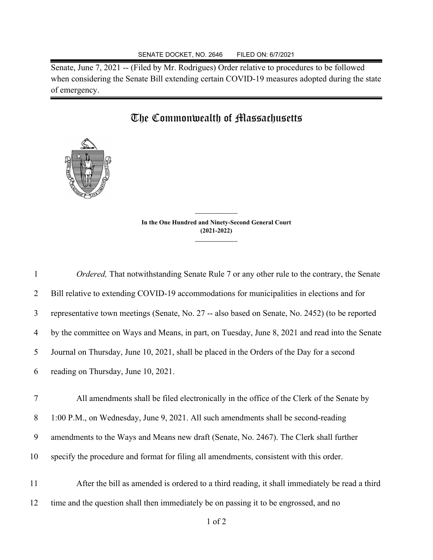Senate, June 7, 2021 -- (Filed by Mr. Rodrigues) Order relative to procedures to be followed when considering the Senate Bill extending certain COVID-19 measures adopted during the state of emergency.

## The Commonwealth of Massachusetts



**In the One Hundred and Ninety-Second General Court (2021-2022) \_\_\_\_\_\_\_\_\_\_\_\_\_\_\_**

**\_\_\_\_\_\_\_\_\_\_\_\_\_\_\_**

 *Ordered,* That notwithstanding Senate Rule 7 or any other rule to the contrary, the Senate Bill relative to extending COVID-19 accommodations for municipalities in elections and for representative town meetings (Senate, No. 27 -- also based on Senate, No. 2452) (to be reported by the committee on Ways and Means, in part, on Tuesday, June 8, 2021 and read into the Senate Journal on Thursday, June 10, 2021, shall be placed in the Orders of the Day for a second reading on Thursday, June 10, 2021.

 All amendments shall be filed electronically in the office of the Clerk of the Senate by 1:00 P.M., on Wednesday, June 9, 2021. All such amendments shall be second-reading amendments to the Ways and Means new draft (Senate, No. 2467). The Clerk shall further specify the procedure and format for filing all amendments, consistent with this order.

11 After the bill as amended is ordered to a third reading, it shall immediately be read a third 12 time and the question shall then immediately be on passing it to be engrossed, and no